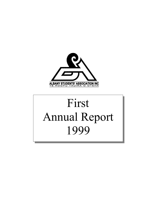

# First Annual Report 1999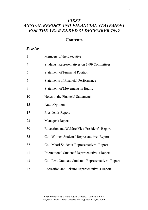# *FIRST ANNUAL REPORT AND FINANCIAL STATEMENT FOR THE YEAR ENDED 31 DECEMBER 1999*

# **Contents**

# *Page No.*

| 3              | Members of the Executive                             |
|----------------|------------------------------------------------------|
| $\overline{4}$ | Students' Representatives on 1999 Committees         |
| 5              | <b>Statement of Financial Position</b>               |
| 7              | <b>Statements of Financial Performance</b>           |
| 9              | <b>Statement of Movements in Equity</b>              |
| 10             | Notes to the Financial Statements                    |
| 15             | <b>Audit Opinion</b>                                 |
| 17             | President's Report                                   |
| 23             | Manager's Report                                     |
| 30             | <b>Education and Welfare Vice-President's Report</b> |
| 35             | Co - Women Students' Representative' Report          |
| 37             | Co - Maori Students' Representatives' Report         |
| 41             | International Students' Representative's Report      |
| 43             | Co - Post-Graduate Students' Representatives' Report |
| 47             | Recreation and Leisure Representative's Report       |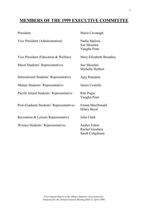# **MEMBERS OF THE 1999 EXECUTIVE COMMITTEE**

| President                               | Maria Cavanagh                                                   |
|-----------------------------------------|------------------------------------------------------------------|
| Vice President (Administration)         | Nadia Malizia<br>Sue Moselen<br>Vaughn Penn                      |
| Vice President (Education & Welfare)    | Mary-Elizabeth Broadley                                          |
| Maori Students' Representatives         | Sue Moselen<br>Michelle Herbert                                  |
| International Students' Representative  | Ajay Ranipeta                                                    |
| Mature Students' Representative         | James Costello                                                   |
| Pacific Island Students' Representative | Rita Pogai<br>Vaughn Penn                                        |
| Post-Graduate Students' Representatives | Emma MacDonald<br>Hilary Boyd                                    |
| Recreation & Leisure Representative     | Julia Clark                                                      |
| Women Students' Representatives         | <b>Amber Fitton</b><br><b>Rachel Giesbers</b><br>Sarah Colquhuon |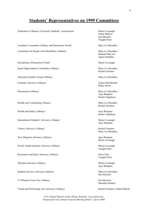# **Students' Representatives on 1999 Committees**

| Federation of Massey University Students' Associations | Maria Cavanagh<br>Nadia Malizia<br>Sue Moselen<br>Vaughn Penn |
|--------------------------------------------------------|---------------------------------------------------------------|
| Academic Committee (Albany and Palmerston North)       | Mary-Liz Broadley                                             |
| Committee for People with Disabilities (Albany)        | Mary-Liz Broadley<br>Michael McCool<br>Agnes Sneddon          |
| Disciplinary (Palmerston North)                        | Maria Cavanagh                                                |
| Equal Opportunities Committee (Albany)                 | Mary-Liz Broadley<br>Rachel Giesbers                          |
| <b>Education Quality Group (Albany)</b>                | Mary-Liz Broadley                                             |
| Graduate Advisory (Albany)                             | Emma MacDonald<br>Hilary Boyd                                 |
| Harassment (Albany)                                    | Mary-Liz Broadley<br>Ajay Ranipeta<br>Sarah Colquhuon         |
| Health and Counselling (Albany)                        | Mary-Liz Broadley<br>Rachel Giesbers                          |
| Health and Safety (Albany)                             | Ajay Ranipeta<br>Sarah Colquhuon                              |
| International Students' Advisory (Albany)              | Maria Cavanagh<br>Ajay Ranipeta                               |
| Library Advisory (Albany)                              | Rachel Giesbers<br>Mary-Liz Broadley                          |
| New Migrants Advisory (Albany)                         | Ajay Ranipeta<br>Maria Cavanagh                               |
| Pacific Island Students Advisory (Albany)              | Maria Cavanagh<br>Vaughn Penn                                 |
| Recreation and Sport Advisory (Albany)                 | Julia Clark<br>Vaughn Penn                                    |
| Spiritual Advisory (Albany)                            | Maria Cavanagh<br>Ajay Ranipeta                               |
| Student Services Advisory (Albany)                     | Mary-Liz Broadley<br>Sue Moselen                              |
| Te Whanau Ururu Tau (Albany)                           | Sue Moselen<br>Michelle Herbert                               |
| Visual and Performing Arts Advisory (Albany)           | Rachel Giesbers, Nadia Malizia                                |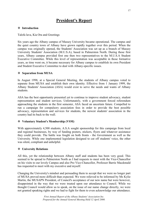# **President's Report**

## **Introduction**

Talofa lava, Kia Ora and Greetings

Six years ago the Albany campus of Massey University became operational. The campus and the quiet country town of Albany have grown rapidly together over this period. When the campus was originally opened, the Students' Association was set up as a branch of Massey University Students' Association (M.U.S.A), based in Palmerston North. During those first years, Albany campus provided first one then two representatives to the M.U.S.A Student Executive Committee. While this level of representation was acceptable in those formative years, as time went on, it became necessary for Albany campus to establish its own President and Student Executive Committee to deal with Albany-specific issues.

#### **Separation from MUSA**

In August 1998, at a Special General Meeting, the students of Albany campus voted to separate from MUSA and establish their own identity. Effective from 1 January 1999, the Albany Students' Association (ASA) would exist to serve the needs and wants of Albany students.

ASA has the best opportunity presented yet to continue to improve student advocacy, student representation and student services. Unfortunately, with a government forced referendum approaching the students in the first semester, ASA faced an uncertain future. Compelled to run a campaign for compulsory association fees in order to provide the best possible advocacy, representation and services for students, the newest students' association in the country had its back to the wall.

#### **Voluntary Student's Membership (VSM)**

With approximately 4,500 students, A.S.A sought sponsorship for this campaign from local and regional businesses, by way of funding posters, stickers, flyers and whatever assistance they could provide. The battle was fought on both fronts - the Government as well as the University. While one implemented legislation designed to cut off students' voice, the other was silent, compliant and unhelpful.

#### **University Relations**

All this, yet the relationship between Albany staff and students has been very good. This seemed to be spread to Palmerston North as I had requests to meet with the Vice-Chancellor on his visits to our lovely Campus and also Pro Vice-Chancellor, Professor Barrie Macdonald has requested to meet with my executive and myself.

Changing the University's mindset and persuading them to accept that we were no longer part of MUSA proved more difficult than expected. We were relieved to be informed by Ms Kylie Martin, the MUSAPN President, of Council's acceptance of our new name but were however, disappointed in the way that we were treated upon our attendance to Council. While we thought Council would allow us to speak, on the issue of our name change directly, we were not granted speaking rights and we had to fight for them to even acknowledge our attendance.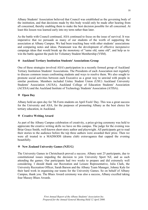Albany Students' Association believed that Council was established as the governing body of the institution, and that decisions made by this body would only be made after hearing from all concerned, thereby enabling them to make the best decision possible for all concerned. At least this lesson was learned early into my term rather than later.

As the battle with Council continued, ASA continued to focus on the issue of survival. It was imperative that we persuade as many of our students of the worth of supporting the association at Albany Campus. We had been touching base with other students' associations and comparing notes and ideas. Paramount was the development of effective inexpensive campaign ideas that would break up the monotony of "same old, same old", and help us to win the battle against the push for Voluntary Student Membership (VSM).

# **Auckland Tertiary Institution Students' Associations Group**

One of these strategies involved ASA's participation in a recently formed group of Auckland Tertiary Institution Students' Associations. The Presidents of each Association met regularly to discuss common issues confronting students and ways to resolve them. We also sought to promote social activities between each Executive as a great way to unwind with people in similar positions. Members included Unitec Student Union (USU) Auckland University Students' Association (AUSA), Auckland College of Education Students' Association (ACESA) and the Auckland Institute of Technology Students' Association (ATISA).

# **Open Day**

Albany held an open day for 7th Form students on April Fools' Day. This was a great success for the University and ASA, for the purposes of promoting Albany as the best choice for tertiary education, in Auckland.

# **Creative Writing Award**

As part of the Albany Campus celebration of creativity, a prize-giving ceremony was held to appreciate the creative writing skills we have on this campus. The judge for the evening was Briar Grace Smith, well-known short-story author and playwright. All participants got to read their stories to the audience before the top three authors were awarded their prize. Then we were all treated to a MADSODS (drama club) extravaganza that capped the evening beautifully.

# **New Zealand University Games (NZUG**)

The University Games in Christchurch proved a success. Albany sent 25 participants, due to constitutional issues impeding the decision to join University Sport NZ, and as such attending the games. Our participants had two weeks to prepare and did extremely well considering. I should thank our Recreation and Leisure Representative, Julia Clark, the University Recreation Officer, Sarah Barson and the Albany Team Manager, Johnny Kale for their hard work in organising our teams for the University Games. So on behalf of Albany Campus, thank you. The Blues Award ceremony was also a success, Albany excelled taking four Massey Blues Awards.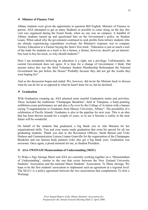#### **Minister of Finance Visit**

Albany students were given the opportunity to question Bill English, Minister of Finance in person. ASA attempted to get as many Students as possible to come along on the day (his visit was organised during the Easter break, when no one was on campus). A handful of Albany students turned up and questioned him on the Government's policy on Student Loans. When asked why the government continued to seek profits from tertiary students who are already experiencing expenditure overload, the Minister's response was to compare Tertiary Education to a Farmer buying the farm's first truck. "Education is just as much a tool of the trade for students as a truck is for a farmer, a farmer, however, doesn't get an interestfree loan to buy his truck, so why should students?"

Here I am mistakenly believing an education is a right, not a privilege. Unfortunately, the current Government does not agree. It is time for a change of Government, I think. Did anyone notice this was the third Voluntary Student Membership Referendum the National Government has put before the House? Probably because they did not get the results they were hoping for?

And so the discussion began and ended. We, however, did invite the Minister back to discuss what he can do for us as opposed to what he hasn't done for us, but he declined.

#### **Graduation**

With Graduation creeping up, ASA planned some tasteful Graduation stunts and activities. These included the traditional 'Champagne Breakfast', held in Takapuna, a body-painting exhibition-come performance art and also a fly-over by the College of Aviation with a banner saying "Congratulations to Graduates from Massey University, Albany". The possibility of a celebration of Pacific Islands' Graduates is also in the pipeline for next year. This is an idea that has been thrown around for a couple of years, so to see it become a reality in the near future will be wonderful.

On behalf of the students that graduated, a big thank you to Ada Marama for her organisational skills. You and your teams made graduation that extra bit special for all our graduating students. Thank you also to the Recreation Officers, Sarah Barson and Vicki Hudson and Communication Liaison Lianne Granville for the organisation of the Champagne Breakfast and our famous body painters (who also get a big thank you). Graduation was awesome. Once again, a proud moment for me, as Student President.

#### **ASA-TWONAM Memorandum of Understanding (MOU)**

Te Waka o Nga Akonga Maori and ASA are currently working together on a 'Memorandum of Understanding', similar to the one that exists between the New Zealand University Students' Association and the national Maori Students' Association, Te Mana Akonga. We hope to be the first students' association to implement such an agreement at a regional level. The M.O.U is a policy agreement between the two associations that complements Te tiriti o Waitangi.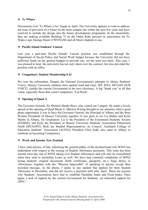## **Te Whare**

Discussions over 'Te Whare a Iwi' began in April. The University appears to want to address the issue of provision of a whare on the main campus site within the next few years and have resolved to include the design into the future development programme. In the meanwhile, they are making available Building 75 on the Oteha Rohe precinct as somewhere for Te Waka o nga Akonga Maori (TWONAM) and all Maori students to use.

## **Pacific Island Students' Liaison**

Last year a part-time Pacific Islands' Liaison position was established through the Department of Social Policy and Social Work budget because the University did not have sufficient funds (in the general budget) to provide one, yet the need was there. This year, I was pleased to hear, the university has not only taken over the contract, but also provided the position with an office.

# **Compulsory Student Membership it is!**

We won the referendum. Despite the National Government's attempts to silence Students' Voices, Massey University students have spoken loud and clear: WE WILL RETAIN OUR VOICE!, (unlike the current Government in the next elections). A big "thank you" to all that voted, especially those that voted Compulsory. You Rock!

# **Opening of Quad A**

The Governor General, Sir Michael Hardie-Boys, also visited our Campus. He made a lovely speech at the opening of Quad Block A. Marilyn Waring brought to our attention what a great photo opportunity it was to have the Governor General, the Principal of Albany and the three Women Presidents of Massey University together. It was great to see Liz Barker and Kylie Martin in Albany, for Graduation. Liz is the President of the Extramural Students' Society (EXMSS), and Kylie the President of Massey University Students' Association Palmerston North (MUSAPN). Both are Student Representatives on Council. Auckland College of Education Students' Association (ACESA) President Chris Judd, also came to Albany to celebrate us becoming Compulsory.

# **Work and Income New Zealand**

1 have read articles, of late, informing the general public of the dysfunctional role WINZ has undertaken with respect to the issuing of Student Allowance payments. This issue has been around since day one of WINZ taking over Student Allowances and will only be exacerbated when they seek to assimilate Loans as well. We have had continual complaints of WINZ losing students' original documents (birth certificates, passports, etc.), huge delays in Allowances, together with the "Mission Impossible" of speaking to anyone except their recorded message, on the phone. I spoke to one student that applied for their Student Allowance in December, and did not receive a payment until after April. These are reasons why Students' Associations have had to establish Hardship funds and Food banks. Once again, a lack of support by the current Government for Students, yet unlimited support for APEC.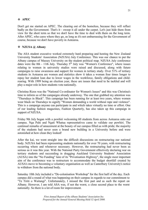#### **APEC**

Don't get me started on APEC. The clearing out of the homeless, because they will reflect badly on the Government. That's it - sweep it all under the carpet. Let's just hide them from view for the short term so that we don't have the time to deal with them on the long term. After APEC, who cares where they go, as long as it's not embarrassing for the Government of course, because we don't have poverty in Aotearoa.

## **❖** NZUSA @ Albany

The ASA student executive worked extremely hard preparing and hosting the New Zealand University Students' Association (NZUSA) July Conference. This was our chance to put the Albany campus of Massey University on the student political map. NZUSA July conference dates were the 8th - 11th July. Thursday 5<sup>th</sup> July was "Women's Conference", where issues relating to women in university studies were raised and discussed, along with future campaigns to raise awareness and support for women in tertiary study. Over 51% of tertiary students in Aotearoa are women and statistics show it takes a woman four times longer to repay her student loan due to lower wages in the workforce, family obligations and childrearing. With 1999 being an election year, these are issues that need to be tackled and will play a major role in how students vote nationally.

Christina Rizos was the "National Co-ordinator for Women's Issues" and this was Christina's time to inform us of the campaigns already underway. The one that grabbed my attention was "Thursdays in Black". This campaign has been running for at least two years, where women wear black on Thursdays to signify "Women demanding a world without rape and violence". This is a campaign anyone can participate in and which takes virtually no time or effort. One of our leading fashion magazines, Fashion Quarterly, has also taken up this campaign in support of NZUSA.

Friday 9th July began with a powhiri welcoming 60 students from across Aotearoa onto our campus. Nga Puhi and Ngati Whatua representatives came to validate our powhiri. The continual remarks of amazement at the beauty of our campus filled us with pride; the majority of the students had never seen a brand new building in a University before and were astonished at how clean they looked!

After the kai, we went straight into the difficult discussions on restructuring our national body. NZUSA had been representing students nationally for over 70 years, with restructuring occurring where and whenever necessary. However, the restructuring had never been as serious as it was this year. With the National Party Government effectively declaring war on tertiary students and succeeding in dragging Auckland University Students' Association (AUSA) into the "No Funding" lane of its "Privatisation Highway", the single most important aim of the conference was to restructure to accommodate the budget shortfall created by AUSA's move to becoming a voluntary organisation as well as Canterbury University's notice to withdraw from the national body.

Saturday 10th July included a "De-colonisation Workshop" for the first half of the day. Each campus did a round of what was happening on their campus in regards to our commitment to "Te Tiriti o Waitangi". Unfortunately, I missed the first part and as such the report on Albany. However, I am told ASA was, if not the worst, a close second place to the worst nationally. So there is a lot of room for improvement.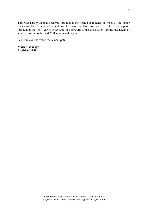This was hardly all that occurred throughout the year, but touches on most of the major issues we faced. Finally I would like to thank my Executive and Staff for their support throughout the first year of ASA and look forward to the association serving the needs of students well into the next Millennium and beyond.

Fa'afetai lava I le avano mo le nei lipoti.

**Maria Cavanagh President 1999**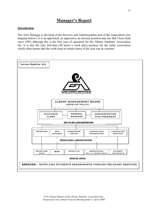# **Manager's Report**

## **Introduction**

The ASA Manager is the head of the Services and Administration arm of the Association (see diagram below). It is an appointed, as opposed to an elected, position and one that I have held since 1993, although this is the first year of operation for the Albany Students' Association Inc. It is also the only full-time (40 hours a week plus) position for the entire association which often means that the work-load at certain times of the year can be extreme.

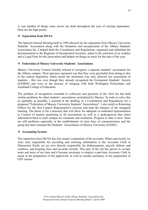A vast number of things came across my desk throughout the year of varying importance. Here are the high points:

# **Separation from MUSA**

The Special General Meeting held in 1998 allowed for the separation from Massey University Students' Association along with the formation and incorporation of the Albany Students' Association Inc. I helped draft the Constitution and Regulations, organised and submitted the documentation to the Registrar of Incorporated Societies, aided in the selection of an Auditor and a Legal Firm for the association and helped set things on track for the start of the year.

#### **Federation of Massey University Students' Associations**

Massey University Council initially refused to recognise a separate students' association for the Albany campus. Their specious argument was that they were precluded from doing so due to the current legislation which meant the institution was only allowed one association of students – this was even though they already recognised the Extramural Students' Society (EXMSS) and were in the process of merging with both Wellington Polytechnic and Auckland College of Education.

The problem of recognition extended to collection and payment of the ASA fee but held similar problems for other students' associations assimilated by Massey. In order to solve this as equitably as possible, I assisted in the drafting of a Constitution and Regulations for a proposed "Federation of Massey University Students' Associations". I also acted as Returning Officer for the first Council Representative election and kept the minutes of the inaugural meeting. The desire is for a structure that will allow for adequate co-ordinated representation to Council of matters pertaining to all associations as well as a spokesperson that refers information back to each campus for comment and resolution. Progress to date is slow, there are still problems especially in the establishment of clear lines of communication and the group has been renamed the Students' Associations of Massey University (SAMU).

# **Accounting System**

The separation from MUSA has also meant a separation of the accounts. Where previously we were only responsible for recording and referring information to the Accounts Clerk at Palmerston North, we are now directly responsible for disbursements, payroll, debtors and creditors, and keeping clear and accurate records. This part of the job has grown to occupy more and more of my time and it became necessary to employ a part-time Accounts Clerk to assist in the preparation of the paperwork as well as outside assistance in the preparation of GST returns.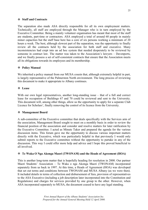#### **Staff and Contracts**

The separation also made ASA directly responsible for all its own employment matters. Technically, all staff are employed through the Manager who is in turn employed by the Executive Committee. Being a mainly volunteer organisation has meant that most of the staff are students, part-time or contractors. ASA employed a total of around 60 people in mainly minor capacities but the staff base here has a core of six persons working a minimum of 20 hours a week. The best, although slowest part of the separation, was the opportunity to finally review all the contracts held by the association for both staff and executive. Many inconsistencies had crept into an ad hoc system that needed desperately to be reviewed by someone in contract law. The matter was taken to the Association's lawyers – Davenports, and we finally possess a set of self-consistent contracts that ensure that the Association meets all its obligations towards its employees and its membership.

#### **Policy Manual**

We inherited a policy manual from our MUSA cousin that, although extremely helpful in part, is largely representative of the Palmerston North environment. The long process of reviewing this document to make it appropriate to Albany continues.

#### **Lease**

With our own legal representatives, another long-standing issue – that of a full and correct lease for occupation of Buildings 67 and 70 could be reviewed and sent to the University. This document will, among other things, allow us the opportunity to apply for a separate Club Licence for Scholars', finally removing the control of its licence from the University.

#### **Management Board**

A sub-committee of the Executive committee that deals specifically with the Services arm of the association, Management Board sought to meet on a monthly basis in order to review the financial position of the association and consider and resolve matters for later ratification by the Executive Committee. I acted as Minute Taker and prepared the agenda for the various discussion items. This forum gave me the opportunity to discuss various important matters directly with the Executive, which was particularly helpful in that previously I would only submit reports to the Executive committee without the opportunity to partake in any of the discussion. This way I could offer more help and advice and I hope this proved beneficial to all involved.

# **Te Waka O Nga Akonga Maori (TWONAM) and the Heads of Agreement (HOA)**

This is another long-term matter that is hopefully heading for resolution in 2000. Our partner Maori Students' Association – Te Waka o nga Akonga Maori (TWONAM) incorporated separately from us back in 1997. At this time, a Heads of Agreement (HOA) was developed that set out terms and conditions between TWONAM and MUSA Albany (as we were then). It included details in terms of collection and disbursement of fees, provision of representatives to the ASA Executive (including a job description later incorporated into the Constitution and Regulations) and charges for services provided by one group to the other. However, when ASA incorporated separately to MUSA, the document ceased to have any legal standing.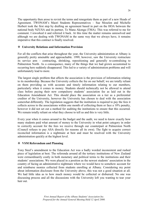The opportunity then arose to revisit the terms and renegotiate them as part of a new Heads of Agreement. TWONAM's Maori Students Representatives – Sue Moselen and Michelle Herbert took the first step by drafting an agreement based in part on the HOA between the national body NZUSA and its partner, Te Mana Akonga (TMA). This was referred to me for comment. I reworked it and referred it back. At this time the matter remains unresolved and although we are dealing with TWONAM in the same way that we always have, it remains imperative that this contract is finally resolved.

# **University Relations and Information Provision**

For all the conflicts that arise throughout the year, the University administration at Albany is generally pretty amenable and approachable. 1999, however, saw the University restructure its service arm – contracting, shrinking, repositioning and generally re-centralising to Palmerston North. As a consequence, many of the things that we had grown accustomed to occurring here suddenly disappeared. This led to a variety of administration problems and will unfortunately lead to more.

The largest single problem that affects the association is the provision of information relating to its membership. Because the University collects the fee on our behalf, we are totally reliant on them providing us with accurate and timely information relating to our members, particularly when it comes to money. Students should technically not be allowed to attend class before paying their now compulsory students' association fee as laid out in the Education Amendment Act. This should place the association on a tier as a preferential creditor of the University, however the University has chosen to deal with the association somewhat differently. The legislation suggests that the institution is required to pay the fees it collects across to the associations within one month of collecting them or face a 10% penalty, however it did not set out a method for auditing the institutions to ensure that this occurred. We remain totally reliant on what they choose to tell us and this is very little.

Every year when it comes around to the budget and the audit, we need to know exactly how many students paid what amount of money to the University in what point category in order to correctly account for the fees we receive through our counterpart at Palmerston North (Council refuses to pay ASA directly for reasons all its own). The fight to acquire correct reconciled information is a nightmare at best and must be resolved with the University administration quickly at the highest level.

# **VSM Referendum and Planning**

Tony Steel's amendment to the Education Act was a badly worded inconsistent and rushed piece of legislation at best. The referenda around all the tertiary institutions of New Zealand were extraordinarily costly in both monetary and political terms to the institutions and their students' associations. We were placed in a position as the newest students' association in the country of facing an administrative nightmare where we would have to somehow account for and reimburse monies collected from students enrolling at Albany. Considering my point about information disclosure from the University above, this was not a good situation at all. We had little idea as to how much money would be collected or disbursed. No one was discussing process and all the discussions with the University left you wanting to tear your hair out.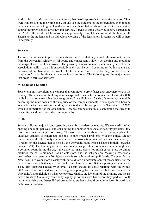Add to this that Massey took an extremely hands-off approach to the entire process. They were content to bide their time and wait and see the outcome of the referendum, even though the association went to great lengths to convince them that we should enter into some sort of contract for provision of advocacy and services. I dread to think what would have happened to the ASA if the result had been voluntary, personally I don't think we would be here at all. Thanks to the students and the ridiculous wording of the legislation, it seems we will be here in perpetuity.

## **Services**

The Association seeks to provide students with services that they would otherwise not receive from the University. Albany is still young and consequently slowly developing and moulding the range of services it can provide. The growing campus population continually stretches the association's ability to do this successfully and it can be very frustrating for both students and the association alike when we would like to be able to offer a wider range of services but simply don't have the financial where-with-all to do so. The following are the major issues that arose in terms of services:

#### **Space and Location**

Space remains a premium on a campus that continues to grow faster than anywhere else in the country. The association building is now expected to cater for a population of almost 4,000, while its location means that the ever-growing State Highway 17 side of the campus is rapidly becoming the main focus of the majority of the campus' students. Some space will become available in the new Atrium building which is due to be completed in Semester 1 of 2001 which is earmarked for the association. How we can best use this is something that needs to be carefully addressed over the coming months.

#### **Bar**

Scholars' did not enjoy is best operating year for a variety of reasons. We were still tied to opening one night per week and considering the number of associated security problems, this was sometimes one night too many. The word got round about the bar being a place for underage drinkers to congregate and this in turn created problems with the Police, Liquor Licensing and the University administration. The association does not have its own licence; it is reliant on the licence that is held by the University (and which I helped initially organise back in 1994). The building was also never really designed to accommodate a bar at night and a common room during the day - there are too many doors, too much carpet area, no dining facilities, the bar is cramped, has no cold-store, and the list goes on. Making a reasonable profit when you open only 30 nights a year is something of an uphill battle. The plan for the New Year is to work more closely with our auditors on adequate control mechanisms for the bar and to ensure a better system of stock control and rotation. Better reporting structures and a new Bar Manager backed by external Security should aid settle relations with the Police, DLA and University and we are looking at applying for our own club licence to end the University's stranglehold on when we operate. Finally, the lowering of the drinking age means new entrants to University can finally legally go to their own bar before they graduate. With more advertising and better-linked promotions, students should be able to look forward to a better overall service.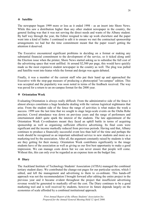#### **Satellite**

The newspaper began 1999 more or less as it ended 1998 - as an insert into Shore News. While this saw a distribution higher than any other student newspaper in the country, the general feeling was that it was not serving the direct needs and wants of the Albany student. By half way through the year, the Editor resigned to take up work elsewhere and the paper went into a kind of limbo. I continued to edit it to ensure we met the contractual sponsorship arrangements we had but the time commitment meant that the paper wasn't getting the attention it deserved.

The Executive encountered significant problems in deciding on a format or making any substantial financial commitment to the development of the service, so it ticked along until the Election issue when the printer, Shore News started asking us to subsidise the full cost of the advertising space that went unfilled. At around \$2,500 per page, this would have quickly made us the most expensive student newspaper in the country as well. The plug was pulled and Satellite went into hiatus while the format and design was again debated.

Finally, it was a member of the current staff who put their hand up and approached the Executive with the stop-gap measure of producing a photocopied "on-campus" edition. This was accepted and the popularity was soon noted in terms of the feedback received. The way was paved for a return to an on-campus format for the 2000 year.

#### **Orientation Week**

Evaluating Orientation is always really difficult. From the administrative side of the fence it almost always constitutes a huge headache dealing with the various logistical nightmares that arise. From the student side of the fence the range of activities is what makes the week a success. 1999 saw the last time that we sought to stage large-scale events on the Oteha Rohe precinct. Crowd attendance was down on previous years and the range of performers and entertainment didn't quite spark the interest of the students. The late appointment of the Orientation Week Co-ordinators meant they faced an uphill battle in terms of acquiring sponsorship as well as organising sufficient effective advertising. Its final costs were significant and the income markedly reduced from previous periods. Having said that, Albany continues to produce a financially successful event less than half of the time and perhaps the week should be recognised as an important subsidised service to new students and more as a marketing tool by the association. After all, the argument constantly raised by students is what are they getting for their money. Orientation Week contributes significantly to the image students have of the association as well as giving us our first best opportunity to make a good impression. We can manage costs down but we can never ensure that people will come. Without this, this can only ever be regarded as an expense item on the budget line.

#### **Diary**

The Auckland Institute of Technology Students' Association (ATISA) managed the combined tertiary student diary. We contributed the change-out pages for our particular section, which I edited, and left the management and advertising to them to co-ordinate. This hands-off approach was not the recommendation I brought forward after editing the entire project in the previous year and it became evident throughout the project that insufficient advertising revenue would be generated to markedly off-set the cost. The Diary continues to be a good marketing tool and is well received by students, however its future depends largely on the economies of scale afforded by a combined institutional approach.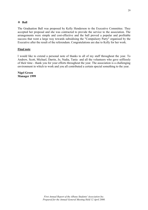## **Ball**

The Graduation Ball was proposed by Kelly Henderson to the Executive Committee. They accepted her proposal and she was contracted to provide the service to the association. The arrangements were simple and cost-effective and the ball proved a popular and profitable success that went a large way towards subsidising the "Compulsory Party" organised by the Executive after the result of the referendum. Congratulations are due to Kelly for her work.

#### **Final note**

I would like to extend a personal note of thanks to all of my staff throughout the year. To Andrew, Scott, Michael, Darrin, Jo, Nadia, Tania and all the volunteers who gave selflessly of their time - thank you for your efforts throughout the year. The association is a challenging environment in which to work and you all contributed a certain special something to the year.

**Nigel Green Manager 1999**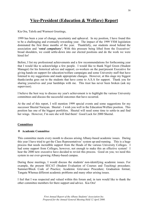# **Vice-President (Education & Welfare) Report**

Kia Ora, Talofa and Warmest Greetings,

1999 has been a year of change, uncertainty and upheaval. In my position, I have found this to be a challenging and eventually rewarding year. The impact of the 1999 VSM legislation dominated the first three months of the year. Thankfully, our students stood behind the association and '*voted compulsory'.* With this pressure being lifted from the Executives' broad shoulders, we could settle-down into our elected positions and do the work we were hired for!

Before, I list my professional achievements and a few recommendations for forthcoming year that I would like to acknowledge a few people. I would like to thank Nigel Green (Student Manager) for his historical advice and support; co-workers on the past/present Executive for giving hands-on support for education/welfare campaigns and some University staff that have listened to my suggestions and made appropriate changes. However, at this stage my biggest thanks/aroha goes out to the students that have come to A.S.A for support. Thank you for sharing yourselves and your hardships with me. This trust has never been broken (ask my supervisor).

I believe the best way to discuss my year's achievement is to highlight the various University committees and discuss the successful outcomes that have occurred.

At the end of this report, I will mention 1999 special events and some suggestions for my successor Sheetal Narayan. Sheetal - I wish you well in the Education/Welfare position. This position has one of the biggest portfolios. Sheetal will need some time to settle-in and find her wings. However, I'm sure she will find them! Good Luck for 2000 Sheetal.

# **Committees**

#### **Academic Committee**

This committee meets every month to discuss arising Albany-based academic issues. During this year I have tried to get the Class Representatives' system up-and-running. This is a huge process that needs incredible support from the Heads of the various University Colleges. I had some support from Colleges, however, not enough to make this an effective system! I hear the 2000 new executive have decided to revisit this process. Good on you; we need this system in our ever-growing Albany-based campus.

During these meetings, I would discuss the students' non-identifying academic issues. For example, the present SECAT (Student Evaluation of Courses and Teaching) procedure; Summer/Block Code of Practice; Academic Grievance Procedure; Graduation format; Tangata Whenua different academic problems and many other arising issues.

I feel that I was respected and valued within this forum and, in turn would like to thank the other committee members for there support and advice. Kia Ora!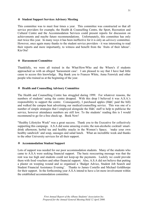#### **Student Support Services Advisory Meeting**

This committee was to meet four times a year. This committee was constructed so that all service providers for example, the Health & Counselling Centre, the Sport, Recreation and Cultural Centre and the Accommodation Services could present reports for discussion on achievements and maybe future recommendations. Unfortunately, this committee has only met twice this year. In many ways it has been ineffective for it is only an *advisory* committee. However, once again many thanks to the student service providers - it was interesting to read their reports and more importantly, to witness and benefit from the `fruits of their labour'. Kia Ora!

#### **Harassment Committee**

Thankfully, we were all trained in the What/How/Who and the Where's if students approached us with an alleged 'harassment case'. I am pleased to say that I have had little cause to access this knowledge. Big thank you to Frances White, Anna Fenwick and other people who trained us at the beginning of the year.

#### **Health and Counselling Advisory Committee**

The Health and Counselling Centre has struggled during 1999. For whatever reasons, the numbers of students' using the centre dropped. With this drop I believed it was A.S.A.'s responsibility to support the centre. Consequently, I purchased apples (H&C paid the bill) and walked the campus beat advertising our medical/counselling service. This was one of a number of simple strategies that I employed alongside the H&C staff to help to publicise the service, however attendance numbers are still low. To the students' reading this is I would recommend to go for a free check-up. Book Now!

"Healthy Lifestyles Week" was a great success. Thank you to the Executive for collectively supporting this campaign. A.S.A did some amazing events; the non-alcoholic cocktail/ smartdrink afternoon; herbal tea and healthy snacks in the Women's Space; 'make your own healthy sandwich' and soup, sausages and salad lunch. What an incredible week and thanks to the other University services for all their support.

#### **Accommodation Student Support**

Lots of support was needed for our poor accommodation students. Many of the students who came to A.S.A were seeking financial support. The basic reoccurring message was that the rent was too high and students could not keep-up the payments. Luckily we could provide them with food vouchers and other financial support. Also, A.S.A did not believe that putting a plaster on weeping wound and so organised a 'Budget Advice, Student Job Search and Student Financial Assistance Evening'. Thanks to James Costello and Michael Goldthorpe for their support. In the forthcoming year A.S.A intend to have a lot more involvement within the established accommodation committee.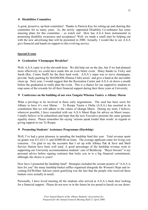#### **Disabilities Committee**

A great, proactive, up-beat committee! Thanks to Patricia Kay for setting-up and chairing this committee for so many years. Jo, the newly- appointed Disability Co-ordinator has some amazing plans for this committee  $-$  so watch out! How has A.S.A been instrumental in promoting disability awareness and acceptance? Well, we made a small start by helping out with the new advertising that will be presented in 2000. Actually, I would like to see A.S.A give financial and hands-on support to this evolving service.

#### **Special Events**

#### **Graduation 'Champagne Breakfast'**

Well, A.S.A came in at the eleventh-hour. We did help out on the day, but if we had planned more effectively we could have made this an even better event. Many thanks to Vicky and Sarah (Rec. Centre Staff) for the their hard work. A.S.A.'s input was to serve champagne, provide 'body-painting by MADSODS (Drama Club) actors' and give a hand at the inevitable clean up. Next year, I would suggest that the Recreation Centre and A.S.A sit down a month before the graduation to really plan the event. This is a chance for our supportive students to reap some of the rewards for all their financial support during their three years at University.

#### **Conference on the building of our own Tangata Whenua Tauira o Albany Marae**

What a privilege to be involved in these early negotiations. The seed has been sown for Albany to have it's own Marae. Te Roopu Tauira o Oteha (A.S.A.) has asserted in its constitution that we will adhere to the values of tikanga Maori. During my term, I believe, wherever possible, I have consulted with our A.S.A Maori Reps for advice on Maori issues. I totally believe in bi-culturalism and hope that the new Executive presents the same genuine equality stance. Please remember the saying 'actions speak louder than words' in regards to giving support to our Te Roopu.

# **Promoting Students' Assistance Programme (Hardship)**

Well, I've had a great pleasure in spending the hardship fund this year. Total revenue spent on grants was \$11,613.11 and \$2000.00 on loans. The average applicant came for living cost concerns. I'm glad to say the accounts that I set up with Albany Pak & Save and Shell Service Station have been well used. A good percentage of the hardship revenue went to supporting our University accommodation students' care of Buildcorp. "Buyer beware" is my personal advice before signing contracts that locks you in to a big financial commitment; although, the choice is yours!

How have I promoted the hardship fund? Strategies included the scream posters of "A.S.A is here for you" the many hardship basket raffles organised alongside the Women's Reps and incoming Ed/Welfare Advisor (most gratifying was the fact that the people who received these baskets were actually in need).

Personally, I have loved meeting all the students who arrived at A.S.A.'s back door looking for a financial support. Please do not now or in the future be too proud to knock on our doors.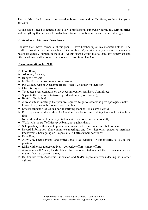The hardship fund comes from overdue book loans and traffic fines, so hey, it's yours anyway!

At this stage, I need to reiterate that I saw a professional supervisor during my term in office and everything that has ever been disclosed to me in confidence has never been divulged.

## **Academic Grievance Procedures**

I believe that I have learned a lot this year. I have brushed up on my mediation skills. The conflict resolution process is such a tricky number. My advice is any academic grievance is best if it's quickly 'nipped-in-the bud.' At this stage I would like to thank my supervisor and other academic staff who have been open to resolution. Kia Ora!

#### **Recommendations for 2000**

- Food Bank;
- ❖ Advocacy Service;
- ❖ Budget Advisor;
- Ed/Welfare with professional supervision;
- $\triangle$  Put College reps on Academic Board that's what they're there for;
- $\triangleleft$  Class Rep system that works;
- Try to get a representative on the Accommodation Advisory Committee;
- Separate the position into two (e.g. Education VP, WelfareVP);
- $\div$  Be full of initiative!
- Always attend meetings that you are required to go to, otherwise give apologies (make it known that you can be counted on to be there);
- $\triangle$  Discuss student's issues in a non-identifying manner it's a small world;
- $\div$  First represent students, then ASA don't get locked in to doing too much in too little time;
- Network with other University Students' Associations, and campus staff;
- $\triangle$  Work with the staff of Massey Albany, not against them;
- Set up a diary with student appointment times set office hours and stick to them;
- Record information after committee meetings, and file. Let other executive members know what's been going on – especially if it affects their portfolios;
- Have Fun;
- ALWAYS keep personal and professional lives separate. Your integrity is key to the position;
- $\triangle$  Liaise with other representatives collective effort is more effort;
- Always consult Maori, Pacific Island, International Students and their representatives on matters that may concern them;
- Be flexible with Academic Grievance and SAPs, especially when dealing with other cultures.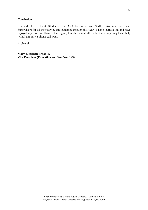#### **Conclusion**

I would like to thank Students, The ASA Executive and Staff, University Staff, and Supervisors for all their advice and guidance through this year. I have learnt a lot, and have enjoyed my term in office. Once again, I wish Sheetal all the best and anything I can help with, I am only a phone call away

Arohanui

**Mary-Elizabeth Broadley Vice President (Education and Welfare) 1999**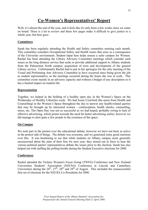# **Co-Women's Representatives' Report**

Well, it's almost the end of the year, and it feels like it's only been a few weeks since we came on board. There is a lot to review and these few pages make it difficult to give justice to a whole year, but here goes:

# **Committees**

Sarah has been regularly attending the Health and Safety committee meeting each month. This committee considers Occupational Safety and Health issues that arise as a consequence of the University environment. Student input here helps ensure a safer campus for Women. Rachel has been attending the Library Advisory Committee meetings which consider such issues as the long distance service that seeks to provide additional support to Albany students from the Palmerston North campus, acquisition of texts and development of the general Library service. Unfortunately Rachel had to put in her apologies for the only meeting of the Visual and Performing Arts Advisory Committee to have occurred since being given the job as student representative, as the meetings occurred during the hours she was at work. This committee exists mainly in an advisory capacity and without a budget of any description so it has a limited impact on student life.

# **Representation**

Together, we helped in the holding of a healthy open day in the Women's Space on the Wednesday of Healthy Lifestyles week. We had Jessie Crawford (the nurse from Health and Counselling) in the Women's Space throughout the day to answer any health-related queries that may be brought up by interested women - contraception, health checks, counselling, stress, etc. The Open Day was not as successful as we had hoped, probably owing to lack of effective advertising, which points towards the need for better advertising earlier, however we did manage to alert quite a few people to the existence of the space.

# **On Campus**

We took part in the protest over the educational debate, however we have not been as active in the protest side of things. The debate was awesome, and we generated some good reactions over this. It was heartening to see that while students on Albany campus seem generally unconcerned about the state of their fees for next year, they turned out in force to hear the various political parties' representatives debate the issues prior to the election. Sarah has also helped out with staffing the polling booths during the Student Executive elections for 2000.

# **Conferences**

Rachel attended the Tertiary Women's Focus Group (TWFG) Conference and New Zealand Universities Students' Association (NZUSA) Conference at Lincoln and Canterbury Universities during the  $26<sup>th</sup>$ ,  $27<sup>th</sup>$ ,  $28<sup>th</sup>$  and  $29<sup>th</sup>$  of August. This included the (unsuccessful) first set of elections for the NZUSA Co-Presidents for 2000.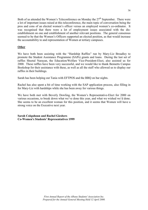Both of us attended the Women's Teleconference on Monday the  $27<sup>th</sup>$  September. There were a lot of important issues raised at this teleconference, the main topic of conversation being the pros and cons of an elected women's officer versus an employed women's co-ordinator. It was recognised that there were a lot of employment issues associated with the disestablishment on one and establishment of another relevant positions. The general consensus seemed to be that the Women's Officers supported an elected position, as that would increase the accountability to and representation of Women at tertiary campuses.

# **Other**

We have both been assisting with the "Hardship Raffles" run by Mary-Liz Broadley to promote the Student Assistance Programme (SAPs) grants and loans. During the last set of raffles Sheetal Narayan, the Education/Welfare Vice-President-Elect, also assisted us for 2000. These raffles have been very successful, and we would like to thank Bennetts Campus Bookshop for their assistance with these, as well as all the staff who allowed us to display our raffles in their buildings.

Sarah has been helping out Tania with EFTPOS and the BBQ on bar nights.

Rachel has also spent a bit of time working with the SAP application process, also filling in for Mary-Liz with hardships while she has been away for various things.

We have both met with Beverly Dowling, the Women's Representative-Elect for 2000 on various occasions, to break down what we've done this year, and what we wished we'd done. She seems to be an excellent woman for this position, and it seems that Women will have a strong voice on the Executive next year.

**Sarah Colquhoun and Rachel Giesbers Co-Women's Students' Representatives 1999**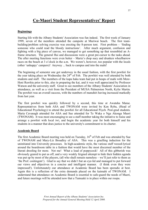# **Co-Maori Student Representatives' Report**

#### **Beginnings**

Starting life with the Albany Students' Association was fun indeed. The first week of January 1999, seven of the members attended the campsite at Muriwai beach. The first teambuilding/problem solving exercise was erecting the 8-person tent. First problem – 'finding someone who could read the bloody instructions'. After much argument, confusion and fighting with a big piece of canvas, we managed to get something up that resembled an Aframe structure. The general Hui and discussions were a great pre-cursor to the tasks ahead. The after meeting functions were even better – Maria's chop suey and drunken wheelbarrow races on the beach at 3 o'clock in the a.m. We weren't, however, too popular with the locals (other 'unhappy' campers)! Anyway ... back to campus and into the mahi!

The beginning of semester one got underway in the usual fashion, with the first powhiri for the year taking place on Wednesday the  $24<sup>th</sup>$  of Feb. The powhiri was well attended by both students and staff. The members of the kapa haka team had put in heaps of mahi with Mere-Heni Ruwhiu prior to this, also in preparing the kai, and it was well appreciated by Professor Watson and the university staff. Great to see members of the Albany Students' Association in attendance, as well as a visit from the President of MUSA Palmerston North, Kylie Martin. The powhiri was an overall success, with the numbers of manuhiri having increased markedly from last year.

The first powhiri was quickly followed by a second, this time at Awataha Marae. Representatives from both ASA and TWONAM were invited by Ken Ryba, (Head of Educational Psychology) to attend the powhiri for all Educational Psych. Post-grad students. Maria Cavanagh attended for ASA and Sue attended for Te Waka o Nga Akonga Maori (TWONAM). It was most encouraging to see a staff member taking the initiative to liaise and arrange a powhiri with local iwi, and begin the academic year for both himself and his students in a manner that does justice to the university's commitment to its charter.

#### **Academic Board**

The first Academic Board meeting was held on Tuesday, 16<sup>th</sup> of Feb and was attended by Sue of TWONAM and Mary-Liz Broadley of ASA. This was a gruelling induction for the uninitiated into University processes. In high-academic style, the various staff waxed-lyrical around the boardroom table in a fashion that would have the most discerned member of the literati drooling for more. Not me! What a load of poppycock! All of this gibberish was obviously geared to put us off, and a very weakly feigned attempt to hide their hidden agenda was put up by most of the players, (all who shall remain nameless – we'll just refer to them as 'the Prof. contingent'). Glad to say that we didn't bat an eye-lid and managed to put forward our views and objectives in a concise and intelligent manner. (I think even they were impressed!). Unfortunately our attendance at Academic Board has been sporadic at best. Again this is a reflection of the extra demands placed on the kaimahi of TWONAM. I understand that attendance on Academic Board is essential to safe-guard the needs of Maori, and future meetings will be attended now that a Tumuaki is in place within our roopu.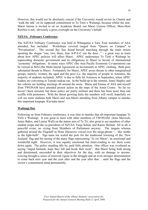However, this would not be absolutely crucial if the University would revisit its Charter and 'walk the talk' on its supposed commitment to Te Tiriti o Waitangi, because whilst the non-Maori liaison is invited to sit on Academic Board, our Maori Liaison Officer, Mere-Heni Ruwhiu is not; obviously a gross oversight on the University's behalf.

# **NZUSA -February Conference**

The NZUSA February Conference was held in Whanganui a Tara. Four members of ASA attended, Sue included. Workshops covered ranged from "Queers on Campus" to "Privatisation". The second day Sue found herself marching through the main streets spouting the slogan "one, two, three, four A-P-E-C out the door..." - a great way to learn about how APEC policies will affect Maori. APEC undermines Te Tiriti o Waitangi by superceding domestic government and its obligations to Maori in favour of international 'economic' obligations. In many ways APEC (the Asia Pacific Economic Co-operation) can be viewed as MAI (the Multi-lateral Agreement on Investment) in APEC clothing. Both pose substantial threats to Maori. Fortunately for Maori, APEC poses threats to other marginalised groups, namely; women, the aged and the poor (i.e. the majority of people in Aotearoa, the majority of students included). APEC is due to fully hit Aotearoa in September, when APEC leaders are convening in Tamaki makau rau. In the build-up to the summit, Jenny Shipley and her cohorts are holding meetings all around the motu. Maria and Emma of ASA and myself from TWONAM have attended protest action on the steps of the Aotea Centre. So far we haven't been arrested, but those police are pretty militant and there has been more than one scuffle with protestors. With the threat growing daily the numbers will swell, hopefully we will see more students both Maori and non-Maori attending from Albany campus to tautoko this important kaupapa. Kia kaha tatou!

# **Waitangi Day**

Following on from February conference, it was time to tautoko that all-important kaupapa Te Tiriti o Waitangi. It was great to meet with other members of TWONAM (Iona Maxwell, Jenny Baker, and Louisa Wall) on the marae atea of Te Tii, also great to see members of other student roopu and the co-presidents of NZUSA Tanja Schutz and Karen Skinner. All in all, a peaceful event, no crying from Members of Parliament anyway. The tangata whenua gathered around the Flagstaff as Hone Harawera voiced over the mega-phone "... like moths to the light-bulb". Nga tama toa scaled the pole for the traditional lowering of the 'New Zealand' flag and the raising of the many flags representing 'Te iwi Maori', an emotional and wonderful sight. However, it was equally emotional but heart-rending to see them come down again. The police standing idly by, paid little attention. One officer was overheard as saying "stupid bastards, hope they fall and break their neck". But Maori being both strong and determined, succeeded in their objectives for the day, with no damage to anyone. Leaving brought a sense of renewed vigour in the struggle and an even stronger determination to come back next year and the year after and the year after that ... until the flags and the crown's commitment stand permanently.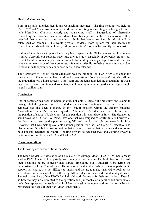#### **Health & Counselling**

Both of us have attended Health and Counselling meetings. The first meeting was held on March  $23<sup>rd</sup>$  and Maori issues were put aside at that meeting as a meeting was being scheduled with Mere-Heni (Kaihono Maori) and counselling staff. Suggestions of alternative counselling and health services for Maori have been posted in the whanau room. It is intended that when the marae complex is built that hauora services for Maori will be established on campus. This would give our students more options for their health and counselling needs and offer culturally safe services for Maori, which currently do not exist.

Building 75 has been set up as a temporary Maori space on the Oteha campus, until the marae is built. Currently our students have little area to study, especially in collective groups; our current facilities are unequipped and unsuitable for holding wananga, kapa haka and Hui. We have yet to take charge of these premises, a few minor details are being negotiated and a date to move in will hopefully be announced early in semester two.

The Ceremony to Honour Maori Graduates was the highlight on TWONAM's calendar for semester one. Owing to the hard work and organisation of our Kaihono Maori, Mere-Heni, the graduation was a huge success. Many staff and students attended the graduation. It was a day of celebration, emotion and kotahitanga, culminating in an after grad social; a great night to end a brilliant day.

#### **Conclusion**

End of semester has been as hectic as ever, not only is there full-time study and exams to manage, but the general biz of the students association continues to tic on. The end of semester has also seen a change in my (Sue's) position within the Albany Students' Association. Nadia Malizia has resigned as Admin Vice-President, and I have been offered the position of acting VP, elections for this position will take place in July. The decision to stand down as MSO for TWONAM was one that was weighed carefully; finally I arrived at the decision to take up the post as acting VP, and run for the role permanently in July. Knowing that I was making available another position for Maori on the ASA Executive, and placing myself in a better position within that structure to ensure that decisions and actions are both fair and beneficial to Maori. Looking forward to semester two, and working toward a better relationship between ASA and TWONAM.

#### **Recommendations**

The following are considerations for ASA:

The Maori Student's Association of Te Waka o nga Akonga Maori (TWONAM) had a rocky start to 1999. Owing to heavy study loads, many of our incoming Kai Mahi had to relinquish their positions before semester had started, (including our Tumuaki). Considering the circumstances of our Tumuaki, (a full-time mother and student; who also works part-time to support her study), it is not difficult to understand the arduous and unenviable position she was placed in, which resulted in the very difficult decision she made in standing down as Tumuaki. Members of the TWONAM kaimahi work for aroha for their association. They do so because they are committed to the operation and philosophy of a parallel and autonomous body that represents the needs of tauira Maori alongside the non-Maori association ASA that represents the needs of their non-Maori constituents.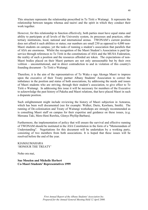This structure represents the relationship proscribed in Te Tiriti o Waitangi. It represents the relationship between tangata whenua and tauiwi and the spirit in which they conduct their work together.

However, for this relationship to function effectively, both parties must have equal status and ability to participate at all levels of the University system, its processes and practices, other tertiary institutions, local, national and international arenas. TWONAM's current position does not afford it such abilities or status; our numbers are small 230 as opposed to 4,000 non-Maori students on campus; yet the tasks of running a student's association that parallels that of ASA are enormous. Whilst the recognition of the Maori Student's Association is paid lipservice through references to Te Tiriti in the constitutions of ASA and the MUSA Federation, the reality of such a position and the resources afforded are token. The expectations of non-Maori bodies placed on their Maori partners are not only unreasonable but by their own volition – unconstitutional, and in direct contradiction to and in violation of this country's founding document - Te Tiriti o Waitangi.

Therefore, it is the aim of the representatives of Te Waka o nga Akonga Maori to impress upon the executive of their Treaty partner Albany Students' Association to correct the imbalance in the position and status of both associations, by addressing the needs and issues of Maori students who are striving, through their student's association, to give effect to Te Tiriti o Waitangi. In addressing this issue it will be necessary for members of the Executive to acknowledge the past history of Pakeha and Maori relations, that have placed Maori in such a disparate position.

Such enlightenment might include reviewing the history of Maori subjection in Aotearoa, which has been well documented (see for example: Walker, Durie, Kawharu, Smith). The running of De-colonisation and Treaty of Waitangi workshops are strongly recommended as is consulting Maori staff on campus for their expertise and guidance on these issues, (e.g. Mereana Taki, Mere-Heni Ruwhiu, Glenys Phyllip-Barbara).

Furthermore, the implementation of policy that will ensure the survival and effective running of TWONAM should be instituted in the ASA Constitution in the form of a "Memorandum of Understanding". Negotiations for this document will be undertaken by a working party, consisting of two members from both associations. It is hoped that these issues will be resolved before the end of the year.

KIAMAUMAHARA 'HONOUR THE TREATY'

Noho ora mai,

**Sue Moselen and Michelle Herbert Co-Maori Students' Representatives 1999**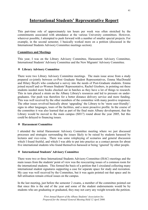# **International Students' Representative Report**

This part-time role of approximately ten hours per week was often stretched by the commitments associated with attendance at the various University committees. However, wherever possible, I attempted to push forward with a number of smaller special projects. For example, in the second semester, I basically worked more on a petition (discussed in the International Students Advisory Committee meetings section).

# **Committees and Meetings**

This year, I was on the Library Advisory Committee, Harassment Advisory Committee, International Students' Advisory Committee and the New Migrants' Advisory Committee.

# **Library Advisory Committee**

There were two Library Advisory Committee meetings. The main issue arose from a study prepared co-jointly between co-Post Graduate Student Representatives, Emma MacDonald and Hilary Boyd's who conducted a survey into the needs of Post-Graduate students. Emma joined myself and co-Women Students' Representative, Rachel Giesbers, in pointing out these students needed more books checked out in batches as they have a lot of things to research. This in turn placed a strain on the Albany Library's resources and led to pressure on undergraduates. Our push was therefore for a better distance delivery service and more funding. This was well received by the other members of the committee with many positive responses. The other issues revolved basically about 'upgrading' the Library to be 'more user-friendly': signs in other languages, tours of the facilities, and a more proactive profile. In the course of the committee it was also learned that as part of the final main Albany development, that the Library would be moved to the main campus (SH17) round about the year 2005, but this could be delayed to financing issues.

# **Harassment Committee**

I attended the initial Harassment Advisory Committee meeting where we just discussed processes and strategies surrounding the issues likely to be raised by students harassed by lectures and vice-versa. There was some roleplaying of scenarios and general discussion which I found fruitful, and which I was able to put into practice as a contact person for about five international students who found themselves harassed or being 'ignored' by other people.

# **International Students' Advisory Committee**

There were two or three International Students Advisory Committee (ISAC) meetings and the main issues from the students' point of view was the reoccurring issues of a common room for the international students. This formed the basis of a petition that I circulated collecting many international student signatures supporting a case for separate space for study and recreation. My case was well received by the Committee, but it was again pointed out that space and its full utilisation remain critical issues on the campus.

In the last meeting, just before the semester 2 exams, a member of the committee pointed out that since this is the end of the year and some of the student endorsements would be by students who are graduating or graduated, they may not carry any weight towards the petition.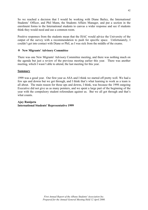So we reached a decision that I would be working with Diane Bailey, the International Students' Officer, and Phil Mann, the Students Affairs Manager, and put a section in the enrolment forms to the International students to canvas a wider response and see if students think they would need and use a common room.

Positive responses from the students mean that the ISAC would advice the University of the output of the survey with a recommendation to push for specific space. Unfortunately, I couldn't get into contact with Diane or Phil, as I was sick from the middle of the exams.

## **New Migrants' Advisory Committee**

There was one New Migrants' Advisory Committee meeting, and there was nothing much on the agenda but just a review of the previous meeting earlier this year. There was another meeting, which I wasn't able to attend, the last meeting for this year.

#### **Summary**

1999 was a good year. Our first year as ASA and I think we started off pretty well. We had a few ups and downs but we got through, and I think that's what learning to work as a team is all about. The main reason for those ups and downs, I think, was because the 1998 outgoing Executive did not give us as many pointers, and we spent a large part of the beginning of the year with the compulsory student referendum against us. But we all got through and that's what counts.

**Ajay Ranipeta International Students' Representative 1999**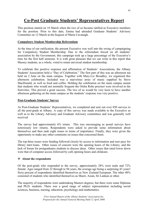# **Co-Post Graduate Students' Representatives Report**

This position started on 18 March when the two of us became ratified as Executive members for the position. Prior to this date, Emma had attended Graduate Students' Advisory Committee on 12 March at the bequest of Maria Cavanagh.

#### **Compulsory Student Membership Referendum**

At the time of our ratification, the present Executive was well into the swing of campaigning for Compulsory Student Membership. Due to the referendum forced on all students' association by the Government, this campaign took up a large percentage of the Executive's time for the first half semester. It is with great pleasure that we can write in this report that Massey students, as a whole, voted to retain universal student membership.

To celebrate this positive response and affirmation of Students' Associations, the Albany Students' Association held a "Day of Celebration." The first part of this was an afternoon tea held on 2 June on the main campus. Together with Mary-Liz Broadley, we organised this afternoon celebration. Included was a marvelous array of music supplied by Steve MacDonald, as well as food and coffee. Holding the celebration on the main campus meant that students who would not normally frequent the Oteha Rohe precinct were involved in the festivities. This proved a great success. The two of us would be very keen to have another afternoon gathering on the main campus as the students' response was very positive.

#### **Post-Graduate Students' Survey**

As Post-Graduate Students' Representatives, we completed and sent out over 850 surveys to all the post-grads at Albany. A copy of this survey was made available to the Executive as well as to the Library Advisory and Graduate Advisory committees and was generally well received.

The survey had approximately 6% return. This was encouraging as postal surveys have notoriously low returns. Respondents were asked to provide some information about themselves and then rank eight issues in terms of importance. Finally, they were given the opportunity to make any other comments on issues that concerned them.

The top three issues were funding followed closely by access to information and user pays for library inter-loans. Other issues of concern were the opening hours of the Library, and the lack of forum for postgraduates students to discuss ideas. Other issues that rated lower down were that of computer access followed by café opening hours and childcare.

#### **About the respondents**

Of the post-grads who responded to the survey, approximately 28% were male and 72% female. Ages ranged from 22 through to 94 years, the average age being a surprising 43 years! Sixty percent of respondents identified themselves as New Zealand European. The other 40% consisted of students who identified themselves as Maori, Asian, Sri Lankan or other.

The majority of respondents were undertaking Masters degrees, but there were some Diploma and Ph.D. students. There was a good range of subject representation including social sciences, business, nursing, education, psychology and mathematics.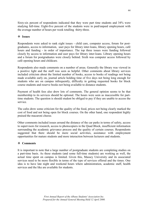Sixty-six percent of respondents indicated that they were part time students and 34% were studying full-time. Eight-five percent of the students were in paid/unpaid employment with the average number of hours per week totalling thirty-three.

## **Issues**

Respondents were asked to rank eight issues - child care, computer access, forum for postgraduates, access to information, user pays for library inter-loans, library opening hours, café hours and funding - in order of importance. The top three issues were funding followed closely by access to information and user pays for library inter-loans. Library opening hours and a forum for postgraduates were closely behind. Sixth was computer access followed by café opening hours and childcare.

Respondents also made comments on a number of areas. Generally the library was viewed in a positive light and the staff was seen as helpful. Other comments about library services included criticism about the limited number of books, access to books of readings not being made available early on, journal article holding time of five days not being long enough for students who are on campus infrequently, difficulty in getting requested books for block course students and reserve books not being available to distance students.

Payment of health fees also drew lots of comments. The general opinion seems to be that membership to its services should be optional. The hours were seen as inaccessible for parttime students. The question is should student be obliged to pay if they are unable to access the service.

The cafes drew some criticism for the quality of the food, prices not being clearly marked the cost of food and not being open for block courses. On the other hand, one respondent highly praised the macaroni cheese.

Other comments included issues around the distance of the car parks in terms of safety, access to supervisors for research, access to photocopiers in the Quad Block, insufficient information surrounding the academic grievance process and the quality of certain courses. Respondents suggested that there should be more social activities, assistance with employment opportunities for mature students and more interaction between lecturers and students.

#### **Comments**

It is important to note that a large number of postgraduate students are completing studies on a part-time basis. As these students (and some full-time students) are working as well, the actual time spent on campus is limited. Given this, Massey University and its associated services need to be more flexible in terms of the type of services offered and the times. One idea is to have late night and weekend hours where administration, academic staff, health services and the like are available for students.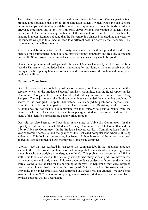The University needs to provide good quality and timely information. One suggestion is to produce a postgraduate pack sent to **all** postgraduate students, which would include sections on scholarships and funding available, academic requirements, research funds, academic grievance procedures and so on. The University currently sends information to students, but it is piecemeal. One issue causing confusion at the moment for example is the deadline for handing in theses. Rumours abound that the University has changed the deadline this year, yet the students we spoke to all had all been told different deadline dates by their faculties. This issue requires immediate attention.

Also it would be timely for the University to examine the facilities provided by different faculties for postgraduates. Some colleges provide rooms, computers and free tea, coffee and even milk! Some provide more limited services. Some consistency would be good!

Given the large number of post-graduate students at Massey University we believe it is time that the University acknowledged their importance by providing a more responsive service through flexible opening hours, co-ordinated and comprehensive information and better postgraduate facilities.

#### **University Committees**

Our role has also been to hold positions on a variety of University committees. In this capacity, we sit on the Graduate Students' Advisory Committee and the Equal Opportunities Committee. Alongside this, Emma has attended Library Advisory committee with Ajay Ranipeta. The major issue at the Graduate committee surrounded the continuing problems of access to the post-grad Computer Laboratory. We managed to push for a separate subcommittee to address this particular problem alongside the Registrar, Andrea Davies. Although we are not on this sub-committee, we look forward to positive results from the members who are. Anecdotal evidence from post-grad students on campus indicates that many of the identified problems are being worked through.

Our role has also been to hold positions of a variety of University Committees. In this capacity we sit on the Graduate Students Advisory Committee, the EEO Committee and the Library Advisory Committee. On the Graduate Students Advisory Committee issue from last year concerning access to, and the quality of, the Post Grad computer labs where still being addressed. This looks to be an on-going issue. Although some of the issues have been addressed, it is recommended that monitoring of this issue continues.

Another issue that has surfaced in respect to the computer labs in that of under- graduate access to them. A formal complaint was made in regards to students who have post graduate status, but who are studying at undergraduate level. This problem also occurred in 1998 as well. Due to lack of space in the labs only students who study at post grad level have access to the computers and study areas. This year undergraduate students with post graduate status were allowed to use the labs for the beginning of the year. In September they were informed that they no longer had access to the post grad facilities. After discussions with the University their under-grad status was confirmed and access was not granted. We have been assurance that in 2000 access will only be given to post-grad students, so the confusion faced by these students will no occur again.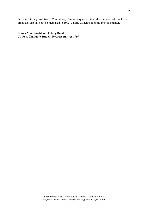On the Library Advisory Committee, Emma requested that the number of books post graduates can take out be increased to 100. Valerie Cohen is looking into this matter.

#### **Emma MacDonald and Hilary Boyd Co-Post Graduate Student Representatives 1999**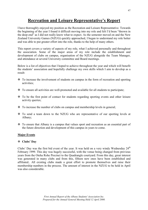# **Recreation and Leisure Representative's Report**

I have thoroughly enjoyed my position as the Recreation and Leisure Representative. Towards the beginning of the year I found it difficult moving into my role and felt I'd been "thrown in the deep end" as I did not really know what to expect. As the semester moved on and the New Zealand University Games (NZUG) quickly approached, I began to understand my role better and was able to put greater effort into the role, thanks to the help of many others.

This report covers a variety of aspects of my role, what I achieved personally and throughout the association. Some of the major areas of my role include the establishment and development of clubs on campus, organisation of the NZUG alongside the Team Manager, and attendance at several University committee and Board meetings.

Below is a list of objectives that I hoped to achieve throughout the year and which will benefit the students' association and hopefully challenge my own skills which I aim to develop as a result:

- To increase the involvement of students on campus in the form of recreation and sporting activities;
- \* To ensure all activities are well-promoted and available for all students to participate;
- To be the first point of contact for students regarding sporting events and other leisure activity queries;
- $\div$  To increase the number of clubs on campus and membership levels in general;
- To send a team down to the NZUG who are representative of our sporting levels at Albany;
- \* To ensure that Albany is a campus that values sport and recreation as an essential part of the future direction and development of this campus in years to come.

# **Major Events**

# **Clubs' Day**

Clubs' Day was the first bid event of the year. It was held on a very windy Wednesday  $24<sup>th</sup>$ February 1999. This day was hugely successful, with the venue being changed from previous years from the Oteha Rohe Precinct to the Quadrangle courtyard. From this day, great interest was generated in many clubs and from this, fifteen new ones have been established and affiliated.. All existing clubs made a great effort to promote themselves and raise their membership numbers in the process. The amount of interest in the NZUG to be held in April was also considerable.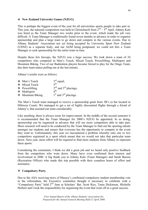#### **New Zealand University Games (NZUG)**

This is perhaps the biggest event of the year for all universities sports people to take part in. This year, the national competition was held in Christchurch from  $2<sup>nd</sup> – 5<sup>th</sup>$  April. Johnny Kale was hired as the Team Manager two weeks prior to the event, which made the job very difficult. A Team Manager is traditionally found seven months in advance in order to organise sponsorship and plan a large team to go down and compete in the various events. Due to Albany Students' Association not yet being accepted by University Sport New Zealand (USNZ) as a separate body, and our AGM being postponed, we could not hire a Team Manager or seek sponsorship for the entire team in time.

Despite these few hiccups, the NZUG was a huge success. We took down a team of 24 competitors who competed in Men's Touch, Mixed Touch, Powerlifting, Multisport and Mountain Biking. Two of our Badminton players became forced to play for the Otago Team, due their team-mates pulling out at the last minute.

Albany's results were as follows:

| ❖ Men's Touch            | $3^{\text{rd}}$ equal;    |
|--------------------------|---------------------------|
| ❖ Mixed Touch            | $5$ <sup>th;</sup>        |
| $\triangle$ Powerlifting | $2nd$ and $3rd$ placings; |
| ❖ Multisport             | $\varLambda^{\text{th}}$  |
| $\div$ Mountain Biking   | $1st$ and $3rd$ placings. |

The Men's Touch team managed to receive a sponsorship grant from 3B's (a bar located in Hibiscus Coast). We managed to get a set of highly discounted flights through a friend of Johnny's, that assisted our team considerably.

Like anything, there is always room for improvement. In the middle of the second semester it is recommended that the Team Manager for 2000's NZUG be appointed. In so doing, sponsorship can be organised in advance that will see more competitors able to take part. More research will need to be conducted by the Team Manager to find out the sporting talents amongst our students and ensure that everyone has the opportunity to compete in the event they want to. Unfortunately, this year we encountered a problem whereby only one or two competitors registered in a sport which meant that we would not take that particular team down. Next year, more effort will be required to find more students from Albany to represent these sports.

Considering the constraints, I think we did a great job and we heard only positive feedback from the competitors who went down. Many have even confirmed their interest and involvement in 2000. A big thank you to Johnny Kale (Team Manager) and Sarah Barson (Recreation Officer) who made this trip possible with their countless hours of effort and assistance.

# **Compulsory Party**

Due to the ASA receiving news of Massey's confirmed compulsory student membership vote in the referendum, the Executive committee thought it necessary to celebrate with a "Compulsory Party" held 2<sup>nd</sup> June at Scholars' Bar. Scott Rice, Tania Dickinson, Michelle Herbert and I took the responsibility for organising the event that went off as a great success.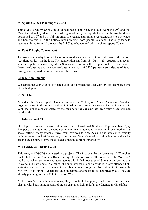#### **Sports Council Planning Weekend**

This event is run by USNZ on an annual basis. This year, the dates were the  $29<sup>th</sup>$  and  $30<sup>th</sup>$ May. Unfortunately, due to a lack of organisation by the Sports Councils, the weekend was postponed to  $10^{th}$  and  $11^{th}$  July in order to organise appropriate representatives to participate and because this is in the holiday break freeing more people to attend. The only team to receive training from Albany was the Ski Club who worked with the Snow-sports Council.

## **Foot-E Rugby Tournament**

The Auckland Rugby Football Union organised a social competition held between the various Auckland tertiary institutions. The competition ran from  $18<sup>th</sup>$  July –  $29<sup>th</sup>$  August as a sevenweek competition series played on Sunday afternoons with a 1 p.m. kick-off. We entered three men's teams and one women's team at a cost of \$300 per team so a degree of fundraising was required in order to support the teams.

#### **Club Life on Campus**

We started the year with six affiliated clubs and finished the year with sixteen. Here are some of the high points:

#### **Ski Club**

Attended the Snow Sports Council training in Wellington. Mark Andersen, President organised a trip to the Winter Festival in Ohakune and ran a fun-raiser at the bar to support it. With the enthusiasm generated by the members, the ski club has been very successful and worthwhile.

# **International Club**

Developed by myself in association with the International Students' Representative, Ajay Ranipeta, this club aims to encourage international students to interact with one another in a social setting. Many students travel from overseas to New Zealand and study at university without seeing much of the country or its culture. One of the primary aims is to organise trips around the country to give these students just this sort of opportunity.

# **MADSODS – Drama Club**

This year, MADSODS completed two projects. The first was the performance of "Vampires Suck" held in the Common Room during Orientation Week. The other was the "Wetfish" workshop, which sort to encourage students with little knowledge of drama or performing arts to come and participate in a range of drama workshops and activities. Many attended both activities and as a consequence the club continues to grow from strength to strength. MADSODS is our only visual arts club on campus and needs to be supported by all. They are already planning for the 2000 Orientation Week.

At this year's Graduation ceremony, they also took the plunge and contributed a visual display with body painting and rolling on canvas as light relief at the Champagne Breakfast.